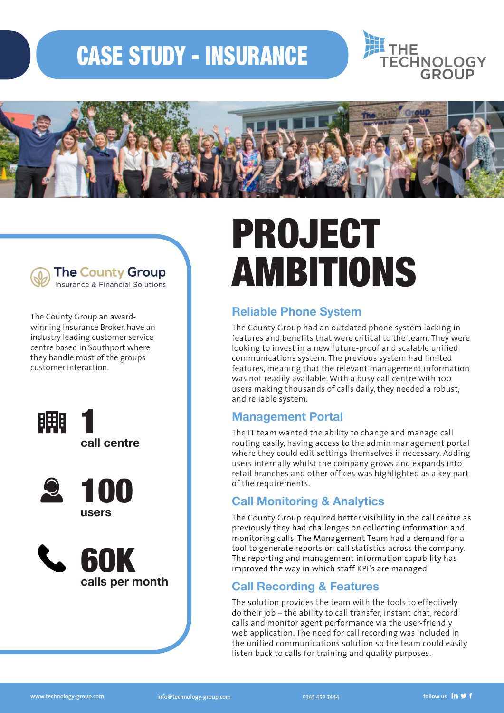### CASE STUDY - INSURANCE







**The County Group** Insurance & Financial Solutions

The County Group an awardwinning Insurance Broker, have an industry leading customer service centre based in Southport where they handle most of the groups customer interaction.







# PROJECT AMBITIONS

#### **Reliable Phone System**

The County Group had an outdated phone system lacking in features and benefits that were critical to the team. They were looking to invest in a new future-proof and scalable unified communications system. The previous system had limited features, meaning that the relevant management information was not readily available. With a busy call centre with 100 users making thousands of calls daily, they needed a robust, and reliable system.

#### **Management Portal**

The IT team wanted the ability to change and manage call routing easily, having access to the admin management portal where they could edit settings themselves if necessary. Adding users internally whilst the company grows and expands into retail branches and other offices was highlighted as a key part of the requirements.

#### **Call Monitoring & Analytics**

The County Group required better visibility in the call centre as previously they had challenges on collecting information and monitoring calls. The Management Team had a demand for a tool to generate reports on call statistics across the company. The reporting and management information capability has improved the way in which staff KPI's are managed.

#### **Call Recording & Features**

The solution provides the team with the tools to effectively do their job – the ability to call transfer, instant chat, record calls and monitor agent performance via the user-friendly web application. The need for call recording was included in the unified communications solution so the team could easily listen back to calls for training and quality purposes.